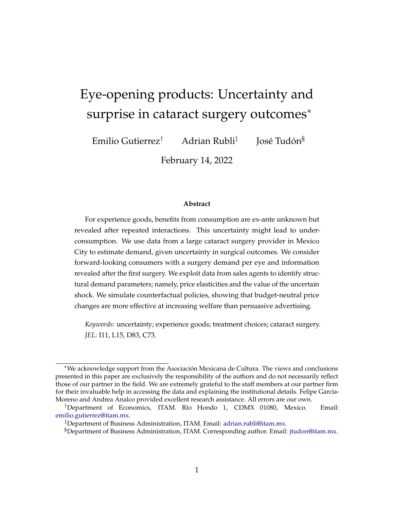# Eye-opening products: Uncertainty and surprise in cataract surgery outcomes<sup>∗</sup>

Emilio Gutierrez† Adrian Rubli‡ José Tudón§

February 14, 2022

#### **Abstract**

For experience goods, benefits from consumption are ex-ante unknown but revealed after repeated interactions. This uncertainty might lead to underconsumption. We use data from a large cataract surgery provider in Mexico City to estimate demand, given uncertainty in surgical outcomes. We consider forward-looking consumers with a surgery demand per eye and information revealed after the first surgery. We exploit data from sales agents to identify structural demand parameters; namely, price elasticities and the value of the uncertain shock. We simulate counterfactual policies, showing that budget-neutral price changes are more effective at increasing welfare than persuasive advertising.

*Keywords*: uncertainty; experience goods; treatment choices; cataract surgery. *JEL*: I11, L15, D83, C73.

<sup>∗</sup>We acknowledge support from the Asociación Mexicana de Cultura. The views and conclusions presented in this paper are exclusively the responsibility of the authors and do not necessarily reflect those of our partner in the field. We are extremely grateful to the staff members at our partner firm for their invaluable help in accessing the data and explaining the institutional details. Felipe García-Moreno and Andrea Analco provided excellent research assistance. All errors are our own.

<sup>†</sup>Department of Economics, ITAM. Río Hondo 1, CDMX 01080, Mexico. Email: [emilio.gutierrez@itam.mx.](mailto:emilio.gutierrez@itam.mx)

<sup>‡</sup>Department of Business Administration, ITAM. Email: [adrian.rubli@itam.mx.](mailto:adrian.rubli@itam.mx)

<sup>§</sup>Department of Business Administration, ITAM. Corresponding author. Email: [jtudon@itam.mx.](mailto:jtudon@itam.mx)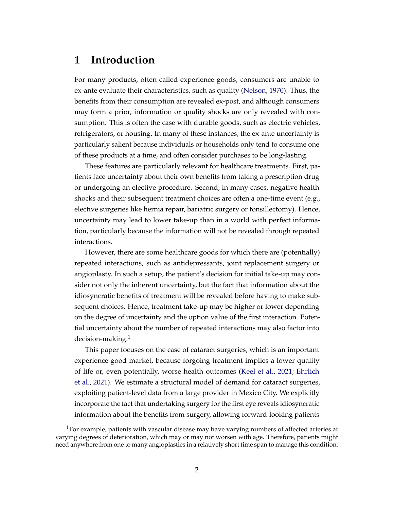# **1 Introduction**

For many products, often called experience goods, consumers are unable to ex-ante evaluate their characteristics, such as quality [\(Nelson,](#page-27-0) [1970\)](#page-27-0). Thus, the benefits from their consumption are revealed ex-post, and although consumers may form a prior, information or quality shocks are only revealed with consumption. This is often the case with durable goods, such as electric vehicles, refrigerators, or housing. In many of these instances, the ex-ante uncertainty is particularly salient because individuals or households only tend to consume one of these products at a time, and often consider purchases to be long-lasting.

These features are particularly relevant for healthcare treatments. First, patients face uncertainty about their own benefits from taking a prescription drug or undergoing an elective procedure. Second, in many cases, negative health shocks and their subsequent treatment choices are often a one-time event (e.g., elective surgeries like hernia repair, bariatric surgery or tonsillectomy). Hence, uncertainty may lead to lower take-up than in a world with perfect information, particularly because the information will not be revealed through repeated interactions.

However, there are some healthcare goods for which there are (potentially) repeated interactions, such as antidepressants, joint replacement surgery or angioplasty. In such a setup, the patient's decision for initial take-up may consider not only the inherent uncertainty, but the fact that information about the idiosyncratic benefits of treatment will be revealed before having to make subsequent choices. Hence, treatment take-up may be higher or lower depending on the degree of uncertainty and the option value of the first interaction. Potential uncertainty about the number of repeated interactions may also factor into decision-making.<sup>1</sup>

This paper focuses on the case of cataract surgeries, which is an important experience good market, because forgoing treatment implies a lower quality of life or, even potentially, worse health outcomes [\(Keel et al.,](#page-26-0) [2021;](#page-26-0) [Ehrlich](#page-26-1) [et al.,](#page-26-1) [2021\)](#page-26-1). We estimate a structural model of demand for cataract surgeries, exploiting patient-level data from a large provider in Mexico City. We explicitly incorporate the fact that undertaking surgery for the first eye reveals idiosyncratic information about the benefits from surgery, allowing forward-looking patients

<sup>&</sup>lt;sup>1</sup>For example, patients with vascular disease may have varying numbers of affected arteries at varying degrees of deterioration, which may or may not worsen with age. Therefore, patients might need anywhere from one to many angioplasties in a relatively short time span to manage this condition.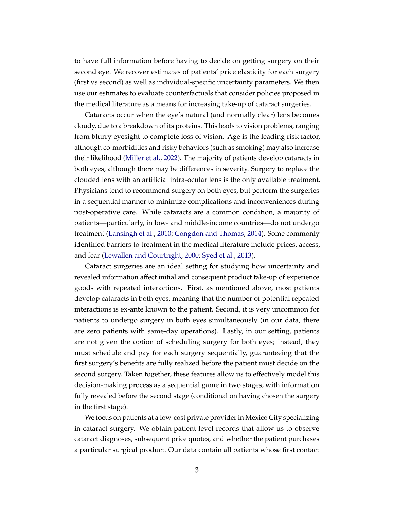to have full information before having to decide on getting surgery on their second eye. We recover estimates of patients' price elasticity for each surgery (first vs second) as well as individual-specific uncertainty parameters. We then use our estimates to evaluate counterfactuals that consider policies proposed in the medical literature as a means for increasing take-up of cataract surgeries.

Cataracts occur when the eye's natural (and normally clear) lens becomes cloudy, due to a breakdown of its proteins. This leads to vision problems, ranging from blurry eyesight to complete loss of vision. Age is the leading risk factor, although co-morbidities and risky behaviors (such as smoking) may also increase their likelihood [\(Miller et al.,](#page-27-1) [2022\)](#page-27-1). The majority of patients develop cataracts in both eyes, although there may be differences in severity. Surgery to replace the clouded lens with an artificial intra-ocular lens is the only available treatment. Physicians tend to recommend surgery on both eyes, but perform the surgeries in a sequential manner to minimize complications and inconveniences during post-operative care. While cataracts are a common condition, a majority of patients—particularly, in low- and middle-income countries—do not undergo treatment [\(Lansingh et al.,](#page-26-2) [2010;](#page-26-2) [Congdon and Thomas,](#page-25-0) [2014\)](#page-25-0). Some commonly identified barriers to treatment in the medical literature include prices, access, and fear [\(Lewallen and Courtright,](#page-26-3) [2000;](#page-26-3) [Syed et al.,](#page-27-2) [2013\)](#page-27-2).

Cataract surgeries are an ideal setting for studying how uncertainty and revealed information affect initial and consequent product take-up of experience goods with repeated interactions. First, as mentioned above, most patients develop cataracts in both eyes, meaning that the number of potential repeated interactions is ex-ante known to the patient. Second, it is very uncommon for patients to undergo surgery in both eyes simultaneously (in our data, there are zero patients with same-day operations). Lastly, in our setting, patients are not given the option of scheduling surgery for both eyes; instead, they must schedule and pay for each surgery sequentially, guaranteeing that the first surgery's benefits are fully realized before the patient must decide on the second surgery. Taken together, these features allow us to effectively model this decision-making process as a sequential game in two stages, with information fully revealed before the second stage (conditional on having chosen the surgery in the first stage).

We focus on patients at a low-cost private provider in Mexico City specializing in cataract surgery. We obtain patient-level records that allow us to observe cataract diagnoses, subsequent price quotes, and whether the patient purchases a particular surgical product. Our data contain all patients whose first contact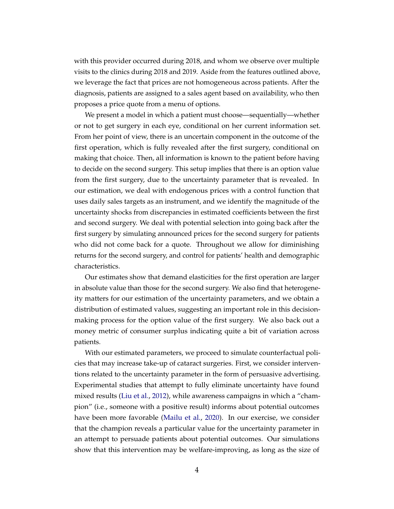with this provider occurred during 2018, and whom we observe over multiple visits to the clinics during 2018 and 2019. Aside from the features outlined above, we leverage the fact that prices are not homogeneous across patients. After the diagnosis, patients are assigned to a sales agent based on availability, who then proposes a price quote from a menu of options.

We present a model in which a patient must choose—sequentially—whether or not to get surgery in each eye, conditional on her current information set. From her point of view, there is an uncertain component in the outcome of the first operation, which is fully revealed after the first surgery, conditional on making that choice. Then, all information is known to the patient before having to decide on the second surgery. This setup implies that there is an option value from the first surgery, due to the uncertainty parameter that is revealed. In our estimation, we deal with endogenous prices with a control function that uses daily sales targets as an instrument, and we identify the magnitude of the uncertainty shocks from discrepancies in estimated coefficients between the first and second surgery. We deal with potential selection into going back after the first surgery by simulating announced prices for the second surgery for patients who did not come back for a quote. Throughout we allow for diminishing returns for the second surgery, and control for patients' health and demographic characteristics.

Our estimates show that demand elasticities for the first operation are larger in absolute value than those for the second surgery. We also find that heterogeneity matters for our estimation of the uncertainty parameters, and we obtain a distribution of estimated values, suggesting an important role in this decisionmaking process for the option value of the first surgery. We also back out a money metric of consumer surplus indicating quite a bit of variation across patients.

With our estimated parameters, we proceed to simulate counterfactual policies that may increase take-up of cataract surgeries. First, we consider interventions related to the uncertainty parameter in the form of persuasive advertising. Experimental studies that attempt to fully eliminate uncertainty have found mixed results [\(Liu et al.,](#page-27-3) [2012\)](#page-27-3), while awareness campaigns in which a "champion" (i.e., someone with a positive result) informs about potential outcomes have been more favorable [\(Mailu et al.,](#page-27-4) [2020\)](#page-27-4). In our exercise, we consider that the champion reveals a particular value for the uncertainty parameter in an attempt to persuade patients about potential outcomes. Our simulations show that this intervention may be welfare-improving, as long as the size of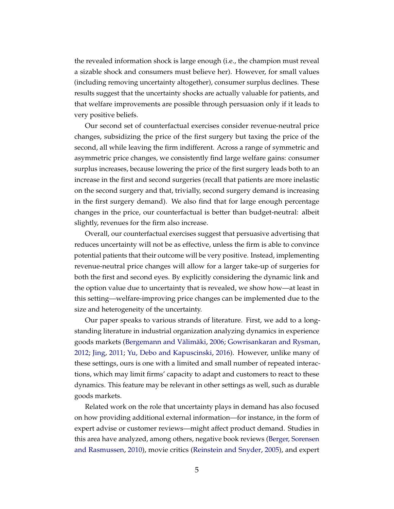the revealed information shock is large enough (i.e., the champion must reveal a sizable shock and consumers must believe her). However, for small values (including removing uncertainty altogether), consumer surplus declines. These results suggest that the uncertainty shocks are actually valuable for patients, and that welfare improvements are possible through persuasion only if it leads to very positive beliefs.

Our second set of counterfactual exercises consider revenue-neutral price changes, subsidizing the price of the first surgery but taxing the price of the second, all while leaving the firm indifferent. Across a range of symmetric and asymmetric price changes, we consistently find large welfare gains: consumer surplus increases, because lowering the price of the first surgery leads both to an increase in the first and second surgeries (recall that patients are more inelastic on the second surgery and that, trivially, second surgery demand is increasing in the first surgery demand). We also find that for large enough percentage changes in the price, our counterfactual is better than budget-neutral: albeit slightly, revenues for the firm also increase.

Overall, our counterfactual exercises suggest that persuasive advertising that reduces uncertainty will not be as effective, unless the firm is able to convince potential patients that their outcome will be very positive. Instead, implementing revenue-neutral price changes will allow for a larger take-up of surgeries for both the first and second eyes. By explicitly considering the dynamic link and the option value due to uncertainty that is revealed, we show how—at least in this setting—welfare-improving price changes can be implemented due to the size and heterogeneity of the uncertainty.

Our paper speaks to various strands of literature. First, we add to a longstanding literature in industrial organization analyzing dynamics in experience goods markets [\(Bergemann and Välimäki,](#page-25-1) [2006;](#page-25-1) [Gowrisankaran and Rysman,](#page-26-4) [2012;](#page-26-4) [Jing,](#page-26-5) [2011;](#page-26-5) [Yu, Debo and Kapuscinski,](#page-28-0) [2016\)](#page-28-0). However, unlike many of these settings, ours is one with a limited and small number of repeated interactions, which may limit firms' capacity to adapt and customers to react to these dynamics. This feature may be relevant in other settings as well, such as durable goods markets.

Related work on the role that uncertainty plays in demand has also focused on how providing additional external information—for instance, in the form of expert advise or customer reviews—might affect product demand. Studies in this area have analyzed, among others, negative book reviews [\(Berger, Sorensen](#page-25-2) [and Rasmussen,](#page-25-2) [2010\)](#page-25-2), movie critics [\(Reinstein and Snyder,](#page-27-5) [2005\)](#page-27-5), and expert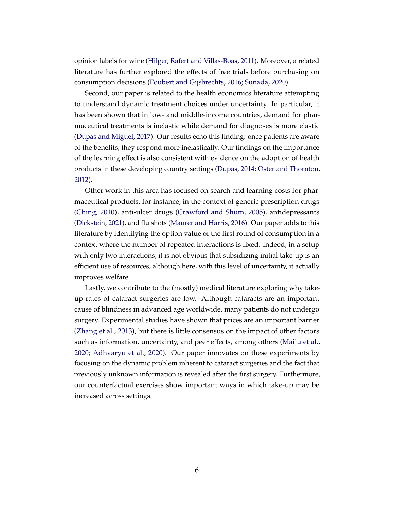opinion labels for wine [\(Hilger, Rafert and Villas-Boas,](#page-26-6) [2011\)](#page-26-6). Moreover, a related literature has further explored the effects of free trials before purchasing on consumption decisions [\(Foubert and Gijsbrechts,](#page-26-7) [2016;](#page-26-7) [Sunada,](#page-27-6) [2020\)](#page-27-6).

Second, our paper is related to the health economics literature attempting to understand dynamic treatment choices under uncertainty. In particular, it has been shown that in low- and middle-income countries, demand for pharmaceutical treatments is inelastic while demand for diagnoses is more elastic [\(Dupas and Miguel,](#page-26-8) [2017\)](#page-26-8). Our results echo this finding: once patients are aware of the benefits, they respond more inelastically. Our findings on the importance of the learning effect is also consistent with evidence on the adoption of health products in these developing country settings [\(Dupas,](#page-26-9) [2014;](#page-26-9) [Oster and Thornton,](#page-27-7) [2012\)](#page-27-7).

Other work in this area has focused on search and learning costs for pharmaceutical products, for instance, in the context of generic prescription drugs [\(Ching,](#page-25-3) [2010\)](#page-25-3), anti-ulcer drugs [\(Crawford and Shum,](#page-25-4) [2005\)](#page-25-4), antidepressants [\(Dickstein,](#page-26-10) [2021\)](#page-26-10), and flu shots [\(Maurer and Harris,](#page-27-8) [2016\)](#page-27-8). Our paper adds to this literature by identifying the option value of the first round of consumption in a context where the number of repeated interactions is fixed. Indeed, in a setup with only two interactions, it is not obvious that subsidizing initial take-up is an efficient use of resources, although here, with this level of uncertainty, it actually improves welfare.

Lastly, we contribute to the (mostly) medical literature exploring why takeup rates of cataract surgeries are low. Although cataracts are an important cause of blindness in advanced age worldwide, many patients do not undergo surgery. Experimental studies have shown that prices are an important barrier [\(Zhang et al.,](#page-28-1) [2013\)](#page-28-1), but there is little consensus on the impact of other factors such as information, uncertainty, and peer effects, among others [\(Mailu et al.,](#page-27-4) [2020;](#page-27-4) [Adhvaryu et al.,](#page-25-5) [2020\)](#page-25-5). Our paper innovates on these experiments by focusing on the dynamic problem inherent to cataract surgeries and the fact that previously unknown information is revealed after the first surgery. Furthermore, our counterfactual exercises show important ways in which take-up may be increased across settings.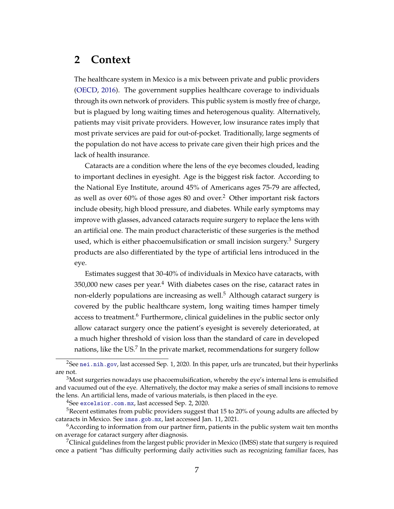# **2 Context**

The healthcare system in Mexico is a mix between private and public providers [\(OECD,](#page-27-9) [2016\)](#page-27-9). The government supplies healthcare coverage to individuals through its own network of providers. This public system is mostly free of charge, but is plagued by long waiting times and heterogenous quality. Alternatively, patients may visit private providers. However, low insurance rates imply that most private services are paid for out-of-pocket. Traditionally, large segments of the population do not have access to private care given their high prices and the lack of health insurance.

Cataracts are a condition where the lens of the eye becomes clouded, leading to important declines in eyesight. Age is the biggest risk factor. According to the National Eye Institute, around 45% of Americans ages 75-79 are affected, as well as over  $60\%$  of those ages 80 and over.<sup>2</sup> Other important risk factors include obesity, high blood pressure, and diabetes. While early symptoms may improve with glasses, advanced cataracts require surgery to replace the lens with an artificial one. The main product characteristic of these surgeries is the method used, which is either phacoemulsification or small incision surgery.<sup>3</sup> Surgery products are also differentiated by the type of artificial lens introduced in the eye.

Estimates suggest that 30-40% of individuals in Mexico have cataracts, with  $350,000$  new cases per year.<sup>4</sup> With diabetes cases on the rise, cataract rates in non-elderly populations are increasing as well.<sup>5</sup> Although cataract surgery is covered by the public healthcare system, long waiting times hamper timely access to treatment.<sup>6</sup> Furthermore, clinical guidelines in the public sector only allow cataract surgery once the patient's eyesight is severely deteriorated, at a much higher threshold of vision loss than the standard of care in developed nations, like the US.<sup>7</sup> In the private market, recommendations for surgery follow

<sup>4</sup>See [excelsior.com.mx](https://www.excelsior.com.mx/nacional/cataratas-afectan-a-cuatro-de-cada-10-problema-aumentara-en-mexico/1315036), last accessed Sep. 2, 2020.

<sup>&</sup>lt;sup>2</sup>See [nei.nih.gov](https://www.nei.nih.gov/learn-about-eye-health/resources-for-health-educators/eye-health-data-and-statistics/cataract-data-and-statistics), last accessed Sep. 1, 2020. In this paper, urls are truncated, but their hyperlinks are not.

 $3$ Most surgeries nowadays use phacoemulsification, whereby the eye's internal lens is emulsified and vacuumed out of the eye. Alternatively, the doctor may make a series of small incisions to remove the lens. An artificial lens, made of various materials, is then placed in the eye.

<sup>&</sup>lt;sup>5</sup>Recent estimates from public providers suggest that 15 to 20% of young adults are affected by cataracts in Mexico. See [imss.gob.mx](http://www.imss.gob.mx/prensa/archivo/202006/370), last accessed Jan. 11, 2021.

 $6$ According to information from our partner firm, patients in the public system wait ten months on average for cataract surgery after diagnosis.

<sup>&</sup>lt;sup>7</sup>Clinical guidelines from the largest public provider in Mexico (IMSS) state that surgery is required once a patient "has difficulty performing daily activities such as recognizing familiar faces, has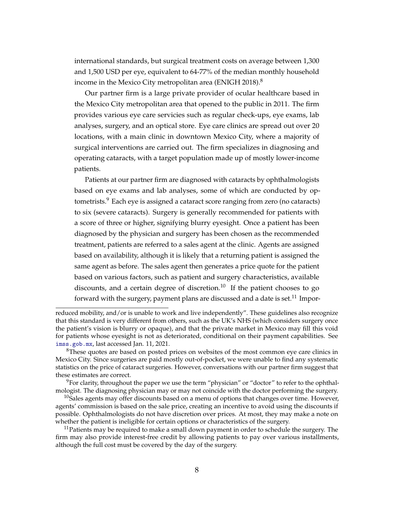international standards, but surgical treatment costs on average between 1,300 and 1,500 USD per eye, equivalent to 64-77% of the median monthly household income in the Mexico City metropolitan area (ENIGH 2018).<sup>8</sup>

Our partner firm is a large private provider of ocular healthcare based in the Mexico City metropolitan area that opened to the public in 2011. The firm provides various eye care servicies such as regular check-ups, eye exams, lab analyses, surgery, and an optical store. Eye care clinics are spread out over 20 locations, with a main clinic in downtown Mexico City, where a majority of surgical interventions are carried out. The firm specializes in diagnosing and operating cataracts, with a target population made up of mostly lower-income patients.

Patients at our partner firm are diagnosed with cataracts by ophthalmologists based on eye exams and lab analyses, some of which are conducted by optometrists.<sup>9</sup> Each eye is assigned a cataract score ranging from zero (no cataracts) to six (severe cataracts). Surgery is generally recommended for patients with a score of three or higher, signifying blurry eyesight. Once a patient has been diagnosed by the physician and surgery has been chosen as the recommended treatment, patients are referred to a sales agent at the clinic. Agents are assigned based on availability, although it is likely that a returning patient is assigned the same agent as before. The sales agent then generates a price quote for the patient based on various factors, such as patient and surgery characteristics, available discounts, and a certain degree of discretion.<sup>10</sup> If the patient chooses to go forward with the surgery, payment plans are discussed and a date is set.<sup>11</sup> Impor-

reduced mobility, and/or is unable to work and live independently". These guidelines also recognize that this standard is very different from others, such as the UK's NHS (which considers surgery once the patient's vision is blurry or opaque), and that the private market in Mexico may fill this void for patients whose eyesight is not as deteriorated, conditional on their payment capabilities. See [imss.gob.mx](https://www.imss.gob.mx/sites/all/statics/guiasclinicas/192GER.pdf), last accessed Jan. 11, 2021.

<sup>&</sup>lt;sup>8</sup>These quotes are based on posted prices on websites of the most common eye care clinics in Mexico City. Since surgeries are paid mostly out-of-pocket, we were unable to find any systematic statistics on the price of cataract surgeries. However, conversations with our partner firm suggest that these estimates are correct.

 $9^9$ For clarity, throughout the paper we use the term "physician" or "doctor" to refer to the ophthalmologist. The diagnosing physician may or may not coincide with the doctor performing the surgery.

 $10$ Sales agents may offer discounts based on a menu of options that changes over time. However, agents' commission is based on the sale price, creating an incentive to avoid using the discounts if possible. Ophthalmologists do not have discretion over prices. At most, they may make a note on whether the patient is ineligible for certain options or characteristics of the surgery.

 $11$ Patients may be required to make a small down payment in order to schedule the surgery. The firm may also provide interest-free credit by allowing patients to pay over various installments, although the full cost must be covered by the day of the surgery.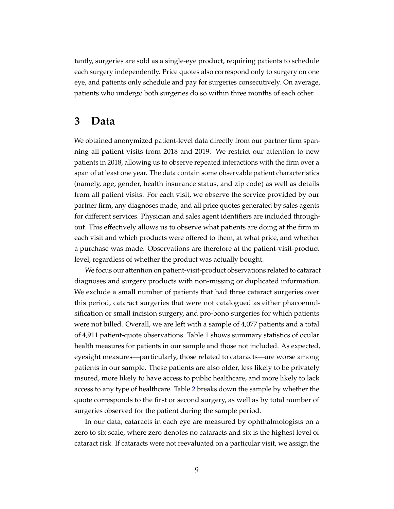tantly, surgeries are sold as a single-eye product, requiring patients to schedule each surgery independently. Price quotes also correspond only to surgery on one eye, and patients only schedule and pay for surgeries consecutively. On average, patients who undergo both surgeries do so within three months of each other.

## **3 Data**

We obtained anonymized patient-level data directly from our partner firm spanning all patient visits from 2018 and 2019. We restrict our attention to new patients in 2018, allowing us to observe repeated interactions with the firm over a span of at least one year. The data contain some observable patient characteristics (namely, age, gender, health insurance status, and zip code) as well as details from all patient visits. For each visit, we observe the service provided by our partner firm, any diagnoses made, and all price quotes generated by sales agents for different services. Physician and sales agent identifiers are included throughout. This effectively allows us to observe what patients are doing at the firm in each visit and which products were offered to them, at what price, and whether a purchase was made. Observations are therefore at the patient-visit-product level, regardless of whether the product was actually bought.

We focus our attention on patient-visit-product observations related to cataract diagnoses and surgery products with non-missing or duplicated information. We exclude a small number of patients that had three cataract surgeries over this period, cataract surgeries that were not catalogued as either phacoemulsification or small incision surgery, and pro-bono surgeries for which patients were not billed. Overall, we are left with a sample of 4,077 patients and a total of 4,911 patient-quote observations. Table [1](#page-9-0) shows summary statistics of ocular health measures for patients in our sample and those not included. As expected, eyesight measures—particularly, those related to cataracts—are worse among patients in our sample. These patients are also older, less likely to be privately insured, more likely to have access to public healthcare, and more likely to lack access to any type of healthcare. Table [2](#page-10-0) breaks down the sample by whether the quote corresponds to the first or second surgery, as well as by total number of surgeries observed for the patient during the sample period.

In our data, cataracts in each eye are measured by ophthalmologists on a zero to six scale, where zero denotes no cataracts and six is the highest level of cataract risk. If cataracts were not reevaluated on a particular visit, we assign the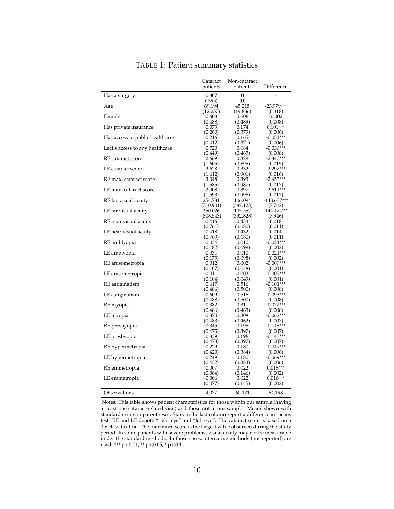<span id="page-9-0"></span>

|                                 | Cataract<br>patients | Non-cataract<br>patients | Difference             |
|---------------------------------|----------------------|--------------------------|------------------------|
| Has a surgery                   | 0.807<br>(.395)      | 0<br>(0)                 |                        |
| Age                             | 69.194               | 45.215                   | $-23.979***$           |
|                                 | (12.257)             | (19.836)                 | (0.318)                |
| Female                          | 0.608                | 0.606                    | $-0.002$               |
|                                 | (0.488)              | (0.489)                  | (0.008)                |
| Has private insurance           | 0.073                | 0.174                    | $0.101***$             |
| Has access to public healthcare | (0.260)<br>0.216     | (0.379)<br>0.165         | (0.006)<br>$-0.051***$ |
| Lacks access to any healthcare  | (0.412)<br>0.720     | (0.371)<br>0.684         | (0.006)<br>$-0.036***$ |
| RE cataract score               | (0.449)<br>2.669     | (0.465)<br>0.329         | (0.008)<br>$-2.340***$ |
|                                 | (1.605)              | (0.895)                  | (0.015)                |
| LE cataract score               | 2.628                | 0.332                    | $-2.297***$            |
|                                 | (1.612)              | (0.901)                  | (0.016)                |
| RE max. cataract score          | 3.048                | 0.395                    | $-2.653***$            |
|                                 | (1.585)              | (0.987)                  | (0.017)                |
| LE max. cataract score          | 3.008                | 0.397                    | $-2.611***$            |
|                                 | (1.593)              | (0.996)                  | (0.017)                |
| RE far visual acuity            | 254.731              | 106.094                  | $-148.637***$          |
|                                 | (710.901)            | (382.128)                | (7.742)                |
| LE far visual acuity            | 250.026              | 105.552                  | $-144.474***$          |
| RE near visual acuity           | (808.543)<br>0.416   | (392.828)<br>0.433       | (7.946)<br>0.018       |
|                                 | (0.761)              | (0.680)                  | (0.011)                |
| LE near visual acuity           | 0.418                | 0.432                    | 0.014                  |
|                                 | (0.763)              | (0.680)                  | (0.011)                |
| RE amblyopia                    | 0.034                | 0.010                    | $-0.024***$            |
|                                 | (0.182)              | (0.099)                  | (0.002)                |
| LE amblyopia                    | 0.031                | 0.010                    | $-0.021***$            |
|                                 | (0.173)              | (0.098)                  | (0.002)                |
| RE anisometropia                | 0.012                | 0.002                    | $-0.009***$            |
|                                 | (0.107)              | (0.048)                  | (0.001)                |
| LE anisometropia                | 0.011<br>(0.104)     | 0.002<br>(0.049)         | $-0.009***$<br>(0.001) |
| RE astigmatism                  | 0.617                | 0.516                    | $-0.101***$            |
|                                 | (0.486)              | (0.500)                  | (0.008)                |
| LE astigmatism                  | 0.609                | 0.516                    | $-0.093***$            |
|                                 | (0.488)              | (0.500)                  | (0.008)                |
| RE myopia                       | 0.382                | 0.311                    | $-0.072***$            |
|                                 | (0.486)              | (0.463)                  | (0.008)                |
| LE myopia                       | 0.370                | 0.308                    | $-0.062***$            |
|                                 | (0.483)              | (0.462)                  | (0.007)                |
| RE presbyopia                   | 0.345<br>(0.475)     | 0.196<br>(0.397)         | $-0.148***$<br>(0.007) |
| LE presbyopia                   | 0.339                | 0.196                    | $-0.143***$            |
|                                 | (0.473)              | (0.397)                  | (0.007)                |
| RE hypermetropia                | 0.229                | 0.180                    | $-0.049***$            |
|                                 | (0.420)              | (0.384)                  | (0.006)                |
| LE hypermetropia                | 0.249                | 0.180                    | $-0.069***$            |
|                                 | (0.432)              | (0.384)                  | (0.006)                |
| RE emmetropia                   | 0.007                | 0.022                    | $0.015***$             |
|                                 | (0.084)              | (0.146)                  | (0.002)                |
| LE emmetropia                   | 0.006                | 0.022                    | $0.016***$             |
|                                 | (0.077)              | (0.145)                  | (0.002)                |
| Observations                    | 4,077                | 60,121                   | 64,198                 |

#### TABLE 1: Patient summary statistics

Notes: This table shows patient characteristics for those within our sample (having at least one cataract-related visit) and those not in our sample. Means shown with standard errors in parentheses. Stars in the last column report a difference in means test. RE and LE denote "right eye" and "left eye". The cataract score is based on a 0-6 classification. The maximum score is the largest value observed during the study period. In some patients with severe problems, visual acuity may not be measurable under the standard methods. In those cases, alternative methods (not reported) are used. \*\*\* p<0.01, \*\* p<0.05, \* p<0.1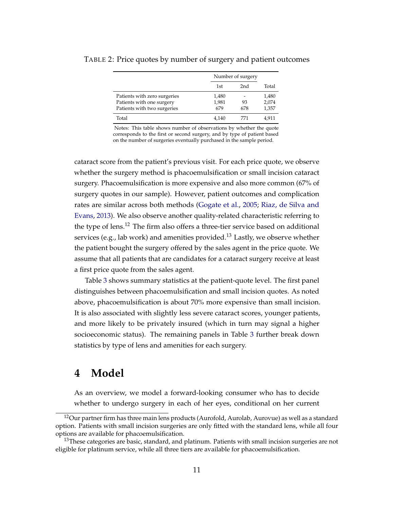|                                                                                          |                       | Number of surgery |                         |  |
|------------------------------------------------------------------------------------------|-----------------------|-------------------|-------------------------|--|
|                                                                                          | 1st                   | 2 <sub>nd</sub>   | Total                   |  |
| Patients with zero surgeries<br>Patients with one surgery<br>Patients with two surgeries | 1,480<br>1,981<br>679 | 93<br>678         | 1,480<br>2,074<br>1,357 |  |
| Total                                                                                    | 4,140                 | 771               | 4.911                   |  |

#### <span id="page-10-0"></span>TABLE 2: Price quotes by number of surgery and patient outcomes

Notes: This table shows number of observations by whether the quote corresponds to the first or second surgery, and by type of patient based on the number of surgeries eventually purchased in the sample period.

cataract score from the patient's previous visit. For each price quote, we observe whether the surgery method is phacoemulsification or small incision cataract surgery. Phacoemulsification is more expensive and also more common (67% of surgery quotes in our sample). However, patient outcomes and complication rates are similar across both methods [\(Gogate et al.,](#page-26-11) [2005;](#page-26-11) [Riaz, de Silva and](#page-27-10) [Evans,](#page-27-10) [2013\)](#page-27-10). We also observe another quality-related characteristic referring to the type of lens.<sup>12</sup> The firm also offers a three-tier service based on additional services (e.g., lab work) and amenities provided.<sup>13</sup> Lastly, we observe whether the patient bought the surgery offered by the sales agent in the price quote. We assume that all patients that are candidates for a cataract surgery receive at least a first price quote from the sales agent.

Table [3](#page-11-0) shows summary statistics at the patient-quote level. The first panel distinguishes between phacoemulsification and small incision quotes. As noted above, phacoemulsification is about 70% more expensive than small incision. It is also associated with slightly less severe cataract scores, younger patients, and more likely to be privately insured (which in turn may signal a higher socioeconomic status). The remaining panels in Table [3](#page-11-0) further break down statistics by type of lens and amenities for each surgery.

# **4 Model**

As an overview, we model a forward-looking consumer who has to decide whether to undergo surgery in each of her eyes, conditional on her current

<sup>&</sup>lt;sup>12</sup>Our partner firm has three main lens products (Aurofold, Aurolab, Aurovue) as well as a standard option. Patients with small incision surgeries are only fitted with the standard lens, while all four options are available for phacoemulsification.

 $13$ These categories are basic, standard, and platinum. Patients with small incision surgeries are not eligible for platinum service, while all three tiers are available for phacoemulsification.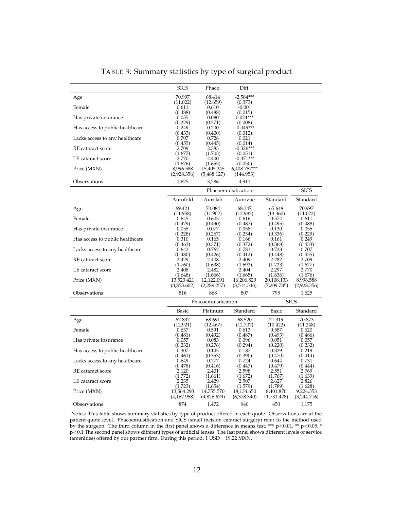<span id="page-11-0"></span>

|                                 | <b>SICS</b>                          | Phaco.                               | Diff.                                |                                     |                                     |  |
|---------------------------------|--------------------------------------|--------------------------------------|--------------------------------------|-------------------------------------|-------------------------------------|--|
| Age                             | 70.997                               | 68.414                               | $-2.584***$                          |                                     |                                     |  |
| Female                          | (11.022)<br>0.611                    | (12.659)<br>0.610                    | (0.373)<br>$-0.001$                  |                                     |                                     |  |
| Has private insurance           | (0.488)<br>0.055                     | (0.488)<br>0.080                     | (0.015)<br>$0.024***$                |                                     |                                     |  |
|                                 | (0.229)                              | (0.271)                              | (0.008)                              |                                     |                                     |  |
| Has access to public healthcare | 0.249<br>(0.433)                     | 0.200<br>(0.400)                     | $-0.049***$<br>(0.012)               |                                     |                                     |  |
| Lacks access to any healthcare  | 0.707                                | 0.728                                | 0.021                                |                                     |                                     |  |
| RE cataract score               | (0.455)<br>2.709                     | (0.445)<br>2.383                     | (0.014)<br>$-0.326***$               |                                     |                                     |  |
| LE cataract score               | (1.677)                              | (1.703)                              | (0.051)<br>$-0.371***$               |                                     |                                     |  |
|                                 | 2.770<br>(1.676)                     | 2.400<br>(1.655)                     | (0.050)                              |                                     |                                     |  |
| Price (MXN)                     | 8,996.588<br>(2,928.356)             | 15,405.345<br>(5,468.127)            | 6,408.757***<br>(144.953)            |                                     |                                     |  |
| Observations                    | 1,625                                | 3,286                                | 4,911                                |                                     |                                     |  |
|                                 | Phacoemulsification<br><b>SICS</b>   |                                      |                                      |                                     |                                     |  |
|                                 | Aurofold                             | Aurolab                              | Aurovue                              | Standard                            | Standard                            |  |
| Age                             | 69.421                               | 70.084                               | 68.347                               | 65.648                              | 70.997                              |  |
| Female                          | (11.958)<br>0.645                    | (11.902)<br>0.603                    | (12.982)<br>0.616                    | (13.360)<br>0.574                   | (11.022)<br>0.611                   |  |
| Has private insurance           | (0.479)<br>0.055                     | (0.490)<br>0.077                     | (0.487)<br>0.058                     | (0.495)<br>0.130                    | (0.488)<br>0.055                    |  |
|                                 | (0.228)                              | (0.267)                              | (0.234)                              | (0.336)                             | (0.229)                             |  |
| Has access to public healthcare | 0.310<br>(0.463)                     | 0.165<br>(0.371)                     | 0.166<br>(0.372)                     | 0.161<br>(0.368)                    | 0.249<br>(0.433)                    |  |
| Lacks access to any healthcare  | 0.642                                | 0.762                                | 0.783                                | 0.723                               | 0.707                               |  |
| RE cataract score               | (0.480)<br>2.429                     | (0.426)<br>2.408                     | (0.412)<br>2.409                     | (0.448)<br>2.282                    | (0.455)<br>2.709                    |  |
| LE cataract score               | (1.760)<br>2.408                     | (1.638)<br>2.482                     | (1.692)<br>2.404                     | (1.723)<br>2.297                    | (1.677)<br>2.770                    |  |
|                                 | (1.648)                              | (1.666)                              | (1.665)                              | (1.636)                             | (1.676)                             |  |
| Price (MXN)                     | 13,523.421<br>(3,853.602)            | 12,122.091<br>(2,289.257)            | 16,206.829<br>(3,514.546)            | 20,108.133<br>(7,209.785)           | 8,996.588<br>(2,928.356)            |  |
| Observations                    | 816                                  | 868                                  | 807                                  | 795                                 | 1,625                               |  |
|                                 | Phacoemulsification                  |                                      |                                      | <b>SICS</b>                         |                                     |  |
|                                 | Basic                                | Platinum                             | Standard                             | <b>Basic</b>                        | Standard                            |  |
| Age                             | 67.837                               | 68.691                               | 68.520                               | 71.319                              | 70.873                              |  |
| Female                          | (12.921)<br>0.637                    | (12.467)<br>0.591                    | (12.707)<br>0.613                    | (10.422)<br>0.587                   | (11.248)<br>0.620                   |  |
| Has private insurance           | (0.481)<br>0.057                     | (0.492)<br>0.083                     | (0.487)<br>0.096                     | (0.493)<br>0.051                    | (0.486)<br>0.057                    |  |
|                                 | (0.232)                              | (0.276)                              | (0.294)                              | (0.220)                             | (0.232)                             |  |
| Has access to public healthcare | 0.307<br>(0.461)                     | 0.145<br>(0.353)                     | 0.187<br>(0.390)                     | 0.329<br>(0.470)                    | 0.219<br>(0.414)                    |  |
| Lacks access to any healthcare  | 0.649<br>(0.478)                     | 0.777<br>(0.416)                     | 0.724<br>(0.447)                     | 0.644<br>(0.479)                    | 0.731<br>(0.444)                    |  |
| RE cataract score               | 2.120<br>(1.772)                     | 2.401<br>(1.661)                     | 2.598<br>(1.672)                     | 2.551<br>(1.767)                    | 2.769<br>(1.639)                    |  |
| LE cataract score               | 2.235                                | 2.429                                | 2.507                                | 2.627                               | 2.826                               |  |
| Price (MXN)                     | (1.723)<br>13,564.293<br>(4,167.958) | (1.654)<br>14,755.570<br>(4,826.679) | (1.579)<br>18,134.650<br>(6,378.340) | (1.789)<br>8,401.870<br>(1,731.428) | (1.628)<br>9,224.353<br>(3,244.716) |  |
| Observations                    | 874                                  | 1,472                                | 940                                  | 450                                 | 1,175                               |  |

TABLE 3: Summary statistics by type of surgical product

Notes: This table shows summary statistics by type of product offered in each quote. Observations are at the patient-quote level. Phacoemulsification and SICS (small incision cataract surgery) refer to the method used by the surgeon. The third column in the first panel shows a difference in means test; \*\*\* p<0.01, \*\* p<0.05, \* p<0.1 The second panel shows different types of artificial lenses. The last panel shows different levels of service (amenities) offered by our partner firm. During this period, 1 USD = 19.22 MXN.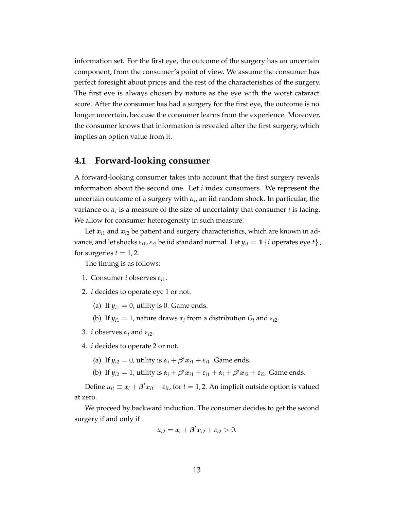information set. For the first eye, the outcome of the surgery has an uncertain component, from the consumer's point of view. We assume the consumer has perfect foresight about prices and the rest of the characteristics of the surgery. The first eye is always chosen by nature as the eye with the worst cataract score. After the consumer has had a surgery for the first eye, the outcome is no longer uncertain, because the consumer learns from the experience. Moreover, the consumer knows that information is revealed after the first surgery, which implies an option value from it.

#### <span id="page-12-0"></span>**4.1 Forward-looking consumer**

A forward-looking consumer takes into account that the first surgery reveals information about the second one. Let *i* index consumers. We represent the uncertain outcome of a surgery with *α<sup>i</sup>* , an iid random shock. In particular, the variance of *α<sup>i</sup>* is a measure of the size of uncertainty that consumer *i* is facing. We allow for consumer heterogeneity in such measure.

Let  $x_{i1}$  and  $x_{i2}$  be patient and surgery characteristics, which are known in advance, and let shocks  $\varepsilon_{i1}$ ,  $\varepsilon_{i2}$  be iid standard normal. Let  $y_{it} = 1$  {*i* operates eye *t*}, for surgeries  $t = 1, 2$ .

The timing is as follows:

- 1. Consumer *i* observes *εi*1.
- 2. *i* decides to operate eye 1 or not.
	- (a) If  $y_{i1} = 0$ , utility is 0. Game ends.
	- (b) If  $y_{i1} = 1$ , nature draws  $\alpha_i$  from a distribution  $G_i$  and  $\varepsilon_{i2}$ .
- 3. *i* observes  $\alpha_i$  and  $\varepsilon_{i2}$ .

4. *i* decides to operate 2 or not.

- (a) If  $y_{i2} = 0$ , utility is  $\alpha_i + \beta' x_{i1} + \varepsilon_{i1}$ . Game ends.
- (b) If  $y_{i2} = 1$ , utility is  $\alpha_i + \beta' x_{i1} + \varepsilon_{i1} + \alpha_i + \beta' x_{i2} + \varepsilon_{i2}$ . Game ends.

Define  $u_{it} \equiv \alpha_i + \beta' x_{it} + \varepsilon_{it}$ , for  $t = 1, 2$ . An implicit outside option is valued at zero.

We proceed by backward induction. The consumer decides to get the second surgery if and only if

$$
u_{i2}=\alpha_i+\beta'x_{i2}+\varepsilon_{i2}>0.
$$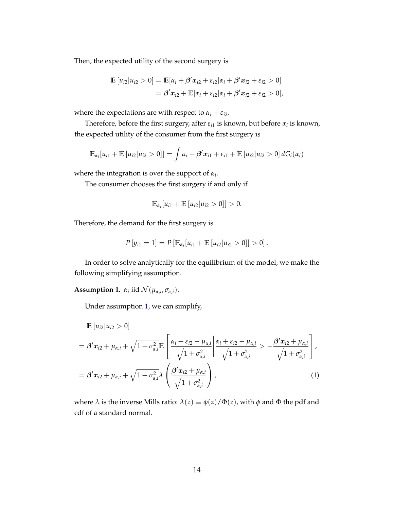Then, the expected utility of the second surgery is

$$
\mathbb{E}[u_{i2}|u_{i2} > 0] = \mathbb{E}[\alpha_i + \beta' x_{i2} + \varepsilon_{i2} | \alpha_i + \beta' x_{i2} + \varepsilon_{i2} > 0]
$$
  
=  $\beta' x_{i2} + \mathbb{E}[\alpha_i + \varepsilon_{i2} | \alpha_i + \beta' x_{i2} + \varepsilon_{i2} > 0],$ 

where the expectations are with respect to  $\alpha_i + \varepsilon_{i2}$ .

Therefore, before the first surgery, after *εi*<sup>1</sup> is known, but before *α<sup>i</sup>* is known, the expected utility of the consumer from the first surgery is

$$
\mathbb{E}_{\alpha_i}[u_{i1} + \mathbb{E}[u_{i2}|u_{i2} > 0]] = \int \alpha_i + \beta' \mathbf{x}_{i1} + \varepsilon_{i1} + \mathbb{E}[u_{i2}|u_{i2} > 0] dG_i(\alpha_i)
$$

where the integration is over the support of *α<sup>i</sup>* .

The consumer chooses the first surgery if and only if

$$
\mathbb{E}_{\alpha_i}[u_{i1} + \mathbb{E}[u_{i2}|u_{i2} > 0]] > 0.
$$

Therefore, the demand for the first surgery is

$$
P[y_{i1} = 1] = P[E_{\alpha_i}[u_{i1} + \mathbb{E}[u_{i2}|u_{i2} > 0]] > 0].
$$

In order to solve analytically for the equilibrium of the model, we make the following simplifying assumption.

<span id="page-13-0"></span>**Assumption 1.**  $\alpha_i$  iid  $\mathcal{N}(\mu_{\alpha,i}, \sigma_{\alpha,i}).$ 

Under assumption [1,](#page-13-0) we can simplify,

$$
\mathbb{E}\left[u_{i2}|u_{i2} > 0\right]
$$
\n
$$
= \beta' x_{i2} + \mu_{\alpha,i} + \sqrt{1 + \sigma_{\alpha,i}^2} \mathbb{E}\left[\frac{\alpha_i + \varepsilon_{i2} - \mu_{\alpha,i}}{\sqrt{1 + \sigma_{\alpha,i}^2}} \middle| \frac{\alpha_i + \varepsilon_{i2} - \mu_{\alpha,i}}{\sqrt{1 + \sigma_{\alpha,i}^2}} \right] \sim \frac{\beta' x_{i2} + \mu_{\alpha,i}}{\sqrt{1 + \sigma_{\alpha,i}^2}} \right],
$$
\n
$$
= \beta' x_{i2} + \mu_{\alpha,i} + \sqrt{1 + \sigma_{\alpha,i}^2} \lambda \left(\frac{\beta' x_{i2} + \mu_{\alpha,i}}{\sqrt{1 + \sigma_{\alpha,i}^2}}\right),
$$
\n(1)

where  $\lambda$  is the inverse Mills ratio:  $\lambda(z) \equiv \phi(z)/\Phi(z)$ , with  $\phi$  and  $\Phi$  the pdf and cdf of a standard normal.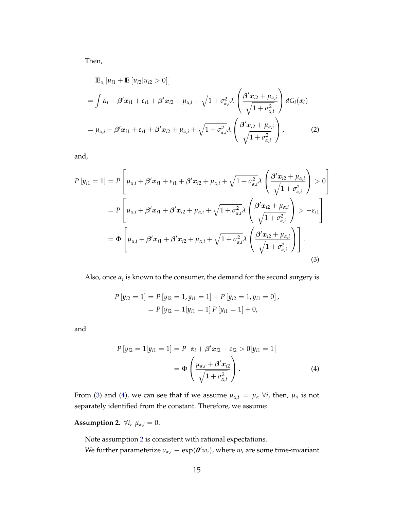Then,

$$
\mathbb{E}_{\alpha_i}[u_{i1} + \mathbb{E}[u_{i2}|u_{i2} > 0]]
$$
\n
$$
= \int \alpha_i + \beta' x_{i1} + \varepsilon_{i1} + \beta' x_{i2} + \mu_{\alpha,i} + \sqrt{1 + \sigma_{\alpha,i}^2} \lambda \left( \frac{\beta' x_{i2} + \mu_{\alpha,i}}{\sqrt{1 + \sigma_{\alpha,i}^2}} \right) dG_i(\alpha_i)
$$
\n
$$
= \mu_{\alpha,i} + \beta' x_{i1} + \varepsilon_{i1} + \beta' x_{i2} + \mu_{\alpha,i} + \sqrt{1 + \sigma_{\alpha,i}^2} \lambda \left( \frac{\beta' x_{i2} + \mu_{\alpha,i}}{\sqrt{1 + \sigma_{\alpha,i}^2}} \right), \qquad (2)
$$

and,

$$
P[y_{i1} = 1] = P\left[\mu_{\alpha,i} + \beta' x_{i1} + \varepsilon_{i1} + \beta' x_{i2} + \mu_{\alpha,i} + \sqrt{1 + \sigma_{\alpha,i}^2} \lambda \left(\frac{\beta' x_{i2} + \mu_{\alpha,i}}{\sqrt{1 + \sigma_{\alpha,i}^2}}\right) > 0\right]
$$
  
\n
$$
= P\left[\mu_{\alpha,i} + \beta' x_{i1} + \beta' x_{i2} + \mu_{\alpha,i} + \sqrt{1 + \sigma_{\alpha,i}^2} \lambda \left(\frac{\beta' x_{i2} + \mu_{\alpha,i}}{\sqrt{1 + \sigma_{\alpha,i}^2}}\right) > -\varepsilon_{i1}\right]
$$
  
\n
$$
= \Phi\left[\mu_{\alpha,i} + \beta' x_{i1} + \beta' x_{i2} + \mu_{\alpha,i} + \sqrt{1 + \sigma_{\alpha,i}^2} \lambda \left(\frac{\beta' x_{i2} + \mu_{\alpha,i}}{\sqrt{1 + \sigma_{\alpha,i}^2}}\right)\right].
$$
  
\n(3)

Also, once  $\alpha_i$  is known to the consumer, the demand for the second surgery is

<span id="page-14-0"></span>
$$
P[y_{i2} = 1] = P[y_{i2} = 1, y_{i1} = 1] + P[y_{i2} = 1, y_{i1} = 0],
$$
  
= 
$$
P[y_{i2} = 1|y_{i1} = 1] P[y_{i1} = 1] + 0,
$$

and

<span id="page-14-1"></span>
$$
P[y_{i2} = 1 | y_{i1} = 1] = P[\alpha_i + \beta' x_{i2} + \varepsilon_{i2} > 0 | y_{i1} = 1]
$$
  
=  $\Phi\left(\frac{\mu_{\alpha,i} + \beta' x_{i2}}{\sqrt{1 + \sigma_{\alpha,i}^2}}\right).$  (4)

From [\(3\)](#page-14-0) and [\(4\)](#page-14-1), we can see that if we assume  $\mu_{\alpha,i} = \mu_{\alpha} \ \forall i$ , then,  $\mu_{\alpha}$  is not separately identified from the constant. Therefore, we assume:

# <span id="page-14-2"></span>**Assumption 2.**  $\forall i, \mu_{\alpha,i} = 0.$

Note assumption [2](#page-14-2) is consistent with rational expectations.

We further parameterize  $\sigma_{\alpha,i} \equiv \exp(\boldsymbol{\theta}'w_i)$ , where  $w_i$  are some time-invariant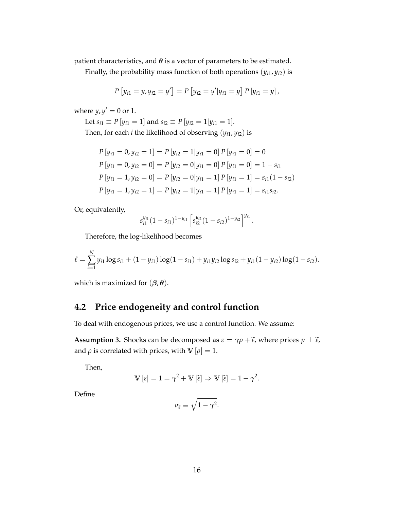patient characteristics, and  $\theta$  is a vector of parameters to be estimated.

Finally, the probability mass function of both operations  $(y_{i1}, y_{i2})$  is

$$
P[y_{i1} = y, y_{i2} = y'] = P[y_{i2} = y'|y_{i1} = y] P[y_{i1} = y],
$$

where  $y, y' = 0$  or 1.

Let  $s_{i1} \equiv P[y_{i1} = 1]$  and  $s_{i2} \equiv P[y_{i2} = 1|y_{i1} = 1]$ .

Then, for each *i* the likelihood of observing  $(y_{i1}, y_{i2})$  is

$$
P[y_{i1} = 0, y_{i2} = 1] = P[y_{i2} = 1|y_{i1} = 0] P[y_{i1} = 0] = 0
$$
  
\n
$$
P[y_{i1} = 0, y_{i2} = 0] = P[y_{i2} = 0|y_{i1} = 0] P[y_{i1} = 0] = 1 - s_{i1}
$$
  
\n
$$
P[y_{i1} = 1, y_{i2} = 0] = P[y_{i2} = 0|y_{i1} = 1] P[y_{i1} = 1] = s_{i1}(1 - s_{i2})
$$
  
\n
$$
P[y_{i1} = 1, y_{i2} = 1] = P[y_{i2} = 1|y_{i1} = 1] P[y_{i1} = 1] = s_{i1}s_{i2}.
$$

Or, equivalently,

$$
s_{i1}^{y_{i1}}(1-s_{i1})^{1-y_{i1}}\left[s_{i2}^{y_{i2}}(1-s_{i2})^{1-y_{i2}}\right]^{y_{i1}}
$$

.

Therefore, the log-likelihood becomes

$$
\ell = \sum_{i=1}^{N} y_{i1} \log s_{i1} + (1 - y_{i1}) \log (1 - s_{i1}) + y_{i1} y_{i2} \log s_{i2} + y_{i1} (1 - y_{i2}) \log (1 - s_{i2}).
$$

which is maximized for  $(\beta, \theta)$ .

## <span id="page-15-0"></span>**4.2 Price endogeneity and control function**

To deal with endogenous prices, we use a control function. We assume:

**Assumption 3.** Shocks can be decomposed as  $\varepsilon = \gamma \rho + \tilde{\varepsilon}$ , where prices  $p \perp \tilde{\varepsilon}$ , and  $\rho$  is correlated with prices, with  $\mathbb{V}[\rho] = 1$ .

Then,

$$
\mathbb{V}\left[\varepsilon\right] = 1 = \gamma^2 + \mathbb{V}\left[\widetilde{\varepsilon}\right] \Rightarrow \mathbb{V}\left[\widetilde{\varepsilon}\right] = 1 - \gamma^2.
$$

Define

$$
\sigma_{\widetilde{\varepsilon}} \equiv \sqrt{1-\gamma^2}.
$$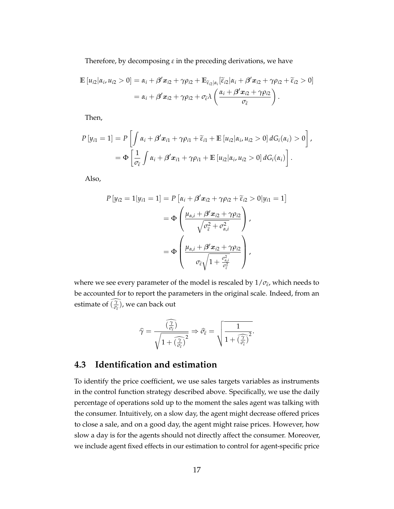Therefore, by decomposing *ε* in the preceding derivations, we have

$$
\mathbb{E}\left[u_{i2}|\alpha_i, u_{i2} > 0\right] = \alpha_i + \beta' x_{i2} + \gamma \rho_{i2} + \mathbb{E}_{\tilde{\epsilon}_{i2}|\alpha_i}[\tilde{\epsilon}_{i2}|\alpha_i + \beta' x_{i2} + \gamma \rho_{i2} + \tilde{\epsilon}_{i2} > 0]
$$
  
=  $\alpha_i + \beta' x_{i2} + \gamma \rho_{i2} + \sigma_{\tilde{\epsilon}} \lambda \left(\frac{\alpha_i + \beta' x_{i2} + \gamma \rho_{i2}}{\sigma_{\tilde{\epsilon}}}\right).$ 

Then,

$$
P[y_{i1} = 1] = P\left[\int \alpha_i + \beta' \mathbf{x}_{i1} + \gamma \rho_{i1} + \widetilde{\epsilon}_{i1} + \mathbb{E}\left[u_{i2} | \alpha_i, u_{i2} > 0\right] dG_i(\alpha_i) > 0\right],
$$
  
= 
$$
\Phi\left[\frac{1}{\sigma_{\widetilde{\epsilon}}} \int \alpha_i + \beta' \mathbf{x}_{i1} + \gamma \rho_{i1} + \mathbb{E}\left[u_{i2} | \alpha_i, u_{i2} > 0\right] dG_i(\alpha_i)\right].
$$

Also,

$$
P[y_{i2} = 1|y_{i1} = 1] = P[\alpha_i + \beta' x_{i2} + \gamma \rho_{i2} + \widetilde{\epsilon}_{i2} > 0|y_{i1} = 1]
$$
  
= 
$$
\Phi\left(\frac{\mu_{\alpha,i} + \beta' x_{i2} + \gamma \rho_{i2}}{\sqrt{\sigma_{\widetilde{\epsilon}}^2 + \sigma_{\alpha,i}^2}}\right),
$$
  
= 
$$
\Phi\left(\frac{\mu_{\alpha,i} + \beta' x_{i2} + \gamma \rho_{i2}}{\sigma_{\widetilde{\epsilon}}\sqrt{1 + \frac{\sigma_{\alpha,i}^2}{\sigma_{\widetilde{\epsilon}}^2}}}\right),
$$

where we see every parameter of the model is rescaled by  $1/\sigma_{\tilde{\epsilon}}$ , which needs to be accounted for to report the parameters in the original scale. Indeed, from an estimate of  $(\frac{\gamma}{\sigma_{\tilde{\epsilon}}})$ , we can back out

$$
\widehat{\gamma} = \frac{\widehat{\left(\frac{\gamma}{\sigma_{\widetilde{\epsilon}}}\right)}}{\sqrt{1 + \widehat{\left(\frac{\gamma}{\sigma_{\widetilde{\epsilon}}}\right)^2}}} \Rightarrow \widehat{\sigma_{\widetilde{\epsilon}}} = \sqrt{\frac{1}{1 + \widehat{\left(\frac{\gamma}{\sigma_{\widetilde{\epsilon}}}\right)^2}}}
$$

.

## **4.3 Identification and estimation**

To identify the price coefficient, we use sales targets variables as instruments in the control function strategy described above. Specifically, we use the daily percentage of operations sold up to the moment the sales agent was talking with the consumer. Intuitively, on a slow day, the agent might decrease offered prices to close a sale, and on a good day, the agent might raise prices. However, how slow a day is for the agents should not directly affect the consumer. Moreover, we include agent fixed effects in our estimation to control for agent-specific price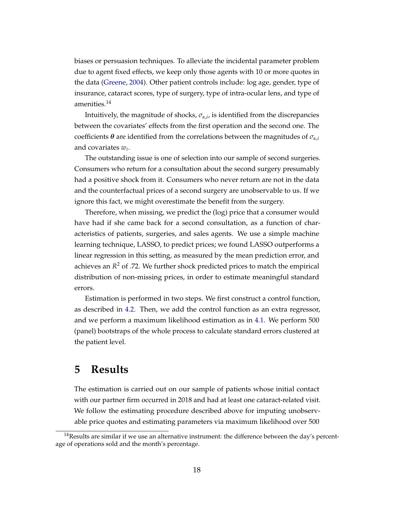biases or persuasion techniques. To alleviate the incidental parameter problem due to agent fixed effects, we keep only those agents with 10 or more quotes in the data [\(Greene,](#page-26-12) [2004\)](#page-26-12). Other patient controls include: log age, gender, type of insurance, cataract scores, type of surgery, type of intra-ocular lens, and type of amenities.<sup>14</sup>

Intuitively, the magnitude of shocks,  $\sigma_{\alpha,i}$ , is identified from the discrepancies between the covariates' effects from the first operation and the second one. The coefficients  $\theta$  are identified from the correlations between the magnitudes of  $\sigma_{\alpha,i}$ and covariates *w<sup>i</sup>* .

The outstanding issue is one of selection into our sample of second surgeries. Consumers who return for a consultation about the second surgery presumably had a positive shock from it. Consumers who never return are not in the data and the counterfactual prices of a second surgery are unobservable to us. If we ignore this fact, we might overestimate the benefit from the surgery.

Therefore, when missing, we predict the (log) price that a consumer would have had if she came back for a second consultation, as a function of characteristics of patients, surgeries, and sales agents. We use a simple machine learning technique, LASSO, to predict prices; we found LASSO outperforms a linear regression in this setting, as measured by the mean prediction error, and achieves an *R* <sup>2</sup> of .72. We further shock predicted prices to match the empirical distribution of non-missing prices, in order to estimate meaningful standard errors.

Estimation is performed in two steps. We first construct a control function, as described in [4.2.](#page-15-0) Then, we add the control function as an extra regressor, and we perform a maximum likelihood estimation as in [4.1.](#page-12-0) We perform 500 (panel) bootstraps of the whole process to calculate standard errors clustered at the patient level.

# **5 Results**

The estimation is carried out on our sample of patients whose initial contact with our partner firm occurred in 2018 and had at least one cataract-related visit. We follow the estimating procedure described above for imputing unobservable price quotes and estimating parameters via maximum likelihood over 500

<sup>&</sup>lt;sup>14</sup>Results are similar if we use an alternative instrument: the difference between the day's percentage of operations sold and the month's percentage.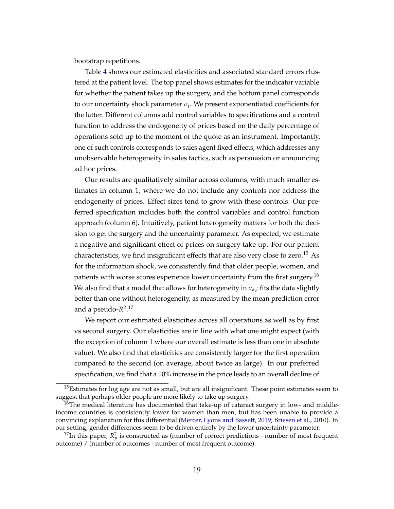bootstrap repetitions.

Table [4](#page-20-0) shows our estimated elasticities and associated standard errors clustered at the patient level. The top panel shows estimates for the indicator variable for whether the patient takes up the surgery, and the bottom panel corresponds to our uncertainty shock parameter *σ<sup>i</sup>* . We present exponentiated coefficients for the latter. Different columns add control variables to specifications and a control function to address the endogeneity of prices based on the daily percentage of operations sold up to the moment of the quote as an instrument. Importantly, one of such controls corresponds to sales agent fixed effects, which addresses any unobservable heterogeneity in sales tactics, such as persuasion or announcing ad hoc prices.

Our results are qualitatively similar across columns, with much smaller estimates in column 1, where we do not include any controls nor address the endogeneity of prices. Effect sizes tend to grow with these controls. Our preferred specification includes both the control variables and control function approach (column 6). Intuitively, patient heterogeneity matters for both the decision to get the surgery and the uncertainty parameter. As expected, we estimate a negative and significant effect of prices on surgery take up. For our patient characteristics, we find insignificant effects that are also very close to zero.<sup>15</sup> As for the information shock, we consistently find that older people, women, and patients with worse scores experience lower uncertainty from the first surgery.<sup>16</sup> We also find that a model that allows for heterogeneity in  $\sigma_{\alpha,i}$  fits the data slightly better than one without heterogeneity, as measured by the mean prediction error and a pseudo-*R* 2 . 17

We report our estimated elasticities across all operations as well as by first vs second surgery. Our elasticities are in line with what one might expect (with the exception of column 1 where our overall estimate is less than one in absolute value). We also find that elasticities are consistently larger for the first operation compared to the second (on average, about twice as large). In our preferred specification, we find that a 10% increase in the price leads to an overall decline of

<sup>&</sup>lt;sup>15</sup>Estimates for log age are not as small, but are all insignificant. These point estimates seem to suggest that perhaps older people are more likely to take up surgery.

 $16$ The medical literature has documented that take-up of cataract surgery in low- and middleincome countries is consistently lower for women than men, but has been unable to provide a convincing explanation for this differential [\(Mercer, Lyons and Bassett,](#page-27-11) [2019;](#page-27-11) [Briesen et al.,](#page-25-6) [2010\)](#page-25-6). In our setting, gender differences seem to be driven entirely by the lower uncertainty parameter.

<sup>&</sup>lt;sup>17</sup>In this paper,  $R_p^2$  is constructed as (number of correct predictions - number of most frequent outcome) / (number of outcomes - number of most frequent outcome).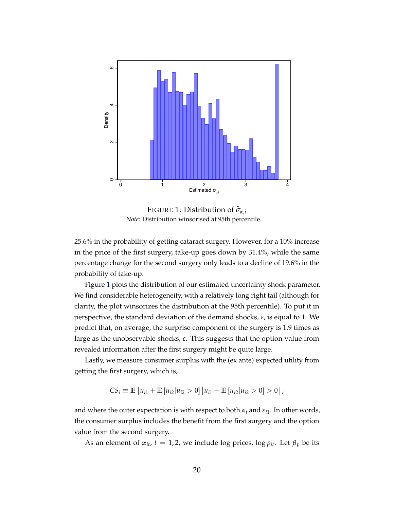<span id="page-19-0"></span>

FIGURE 1: Distribution of  $\hat{\sigma}_{\alpha,i}$ *Note:* Distribution winsorised at 95th percentile.

25.6% in the probability of getting cataract surgery. However, for a 10% increase in the price of the first surgery, take-up goes down by 31.4%, while the same percentage change for the second surgery only leads to a decline of 19.6% in the probability of take-up.

Figure [1](#page-19-0) plots the distribution of our estimated uncertainty shock parameter. We find considerable heterogeneity, with a relatively long right tail (although for clarity, the plot winsorizes the distribution at the 95th percentile). To put it in perspective, the standard deviation of the demand shocks, *ε*, is equal to 1. We predict that, on average, the surprise component of the surgery is 1.9 times as large as the unobservable shocks, *ε*. This suggests that the option value from revealed information after the first surgery might be quite large.

Lastly, we measure consumer surplus with the (ex ante) expected utility from getting the first surgery, which is,

$$
CS_i \equiv \mathbb{E}\left[u_{i1} + \mathbb{E}\left[u_{i2} | u_{i2} > 0\right] | u_{i1} + \mathbb{E}\left[u_{i2} | u_{i2} > 0\right] > 0\right],
$$

and where the outer expectation is with respect to both  $\alpha_i$  and  $\varepsilon_{i1}$ . In other words, the consumer surplus includes the benefit from the first surgery and the option value from the second surgery.

As an element of  $x_{it}$ ,  $t = 1, 2$ , we include log prices, log  $p_{it}$ . Let  $\beta_p$  be its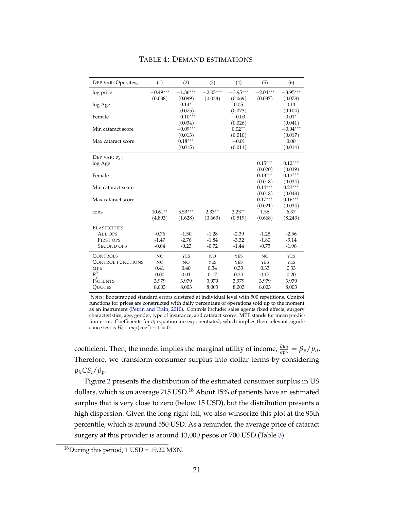<span id="page-20-0"></span>

| DEP VAR: Operates <sub>it</sub> | (1)        | (2)                   | (3)        | (4)                | (5)                  | (6)                  |
|---------------------------------|------------|-----------------------|------------|--------------------|----------------------|----------------------|
| log price                       | $-0.49***$ | $-1.36***$            | $-2.05***$ | $-3.95***$         | $-2.04***$           | $-3.95***$           |
|                                 | (0.038)    | (0.099)               | (0.038)    | (0.069)            | (0.037)              | (0.078)              |
| log Age                         |            | $0.14*$               |            | 0.05               |                      | 0.11                 |
| Female                          |            | (0.075)<br>$-0.10***$ |            | (0.073)<br>$-0.03$ |                      | (0.104)<br>$0.01*$   |
|                                 |            | (0.034)               |            | (0.026)            |                      | (0.041)              |
| Min cataract score              |            | $-0.09***$            |            | $0.02**$           |                      | $-0.04***$           |
|                                 |            | (0.013)               |            | (0.010)            |                      | (0.017)              |
| Max cataract score              |            | $0.18***$             |            | $-0.01$            |                      | 0.00                 |
|                                 |            | (0.015)               |            | (0.011)            |                      | (0.014)              |
| DEP VAR: $\sigma_{\alpha,i}$    |            |                       |            |                    |                      |                      |
| log Age                         |            |                       |            |                    | $0.15***$            | $0.12***$            |
|                                 |            |                       |            |                    | (0.020)              | (0.039)              |
| Female                          |            |                       |            |                    | $0.13***$<br>(0.018) | $0.13***$            |
| Min cataract score              |            |                       |            |                    | $0.14***$            | (0.034)<br>$0.23***$ |
|                                 |            |                       |            |                    | (0.018)              | (0.048)              |
| Max cataract score              |            |                       |            |                    | $0.17***$            | $0.16***$            |
|                                 |            |                       |            |                    | (0.021)              | (0.034)              |
| cons                            | $10.61***$ | $5.53***$             | $2.33**$   | $2.23**$           | 1.56                 | 6.37                 |
|                                 | (4.893)    | (1.628)               | (0.663)    | (0.519)            | (0.668)              | (8.243)              |
| <b>ELASTICITIES</b>             |            |                       |            |                    |                      |                      |
| ALL OPS                         | $-0.76$    | $-1.50$               | $-1.28$    | $-2.39$            | $-1.28$              | $-2.56$              |
| <b>FIRST OPS</b>                | $-1.47$    | $-2.76$               | $-1.84$    | $-3.32$            | $-1.80$              | $-3.14$              |
| <b>SECOND OPS</b>               | $-0.04$    | $-0.23$               | $-0.72$    | $-1.44$            | $-0.75$              | $-1.96$              |
| <b>CONTROLS</b>                 | NO         | <b>YES</b>            | <b>NO</b>  | <b>YES</b>         | NO                   | <b>YES</b>           |
| <b>CONTROL FUNCTIONS</b>        | NO         | NO                    | <b>YES</b> | <b>YES</b>         | <b>YES</b>           | <b>YES</b>           |
| <b>MPE</b>                      | 0.41       | 0.40                  | 0.34       | 0.33               | 0.33                 | 0.33                 |
| $R_p^2$                         | 0.00       | 0.01                  | 0.17       | 0.20               | 0.17                 | 0.20                 |
| <b>PATIENTS</b>                 | 3,979      | 3,979                 | 3,979      | 3,979              | 3,979                | 3,979                |
| <b>OUOTES</b>                   | 8,003      | 8,003                 | 8,003      | 8,003              | 8,003                | 8,003                |

#### TABLE 4: DEMAND ESTIMATIONS

*Notes*: Bootstrapped standard errors clustered at individual level with 500 repetitions. Control functions for prices are constructed with daily percentage of operations sold up to the moment as an instrument [\(Petrin and Train,](#page-27-12) [2010\)](#page-27-12). Controls include: sales agents fixed effects, surgery characteristics, age, gender, type of insurance, and cataract scores. MPE stands for mean prediction error. Coefficients for *σ<sup>i</sup>* equation are exponentiated, which implies their relevant significance test is  $H_0$ : exp(coef) – 1 = 0.

coefficient. Then, the model implies the marginal utility of income,  $\frac{\partial u_{it}}{\partial p_{it}} = \beta_p / p_{it}$ . Therefore, we transform consumer surplus into dollar terms by considering  $p_{it}$ *CS*<sup>*i*</sup>/ $\beta$ <sup>*p*</sup>.

Figure [2](#page-21-0) presents the distribution of the estimated consumer surplus in US dollars, which is on average 215 USD.<sup>18</sup> About 15% of patients have an estimated surplus that is very close to zero (below 15 USD), but the distribution presents a high dispersion. Given the long right tail, we also winsorize this plot at the 95th percentile, which is around 550 USD. As a reminder, the average price of cataract surgery at this provider is around 13,000 pesos or 700 USD (Table [3\)](#page-11-0).

 $18$ During this period, 1 USD = 19.22 MXN.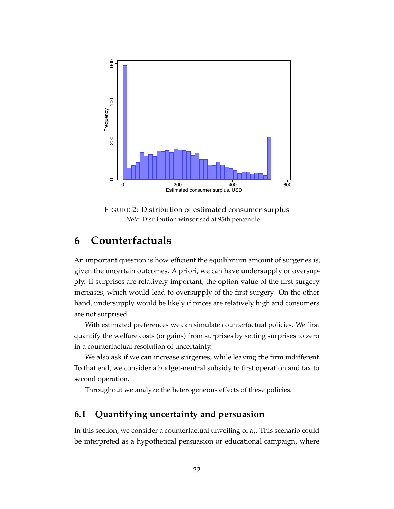<span id="page-21-0"></span>

FIGURE 2: Distribution of estimated consumer surplus *Note:* Distribution winsorised at 95th percentile.

# **6 Counterfactuals**

An important question is how efficient the equilibrium amount of surgeries is, given the uncertain outcomes. A priori, we can have undersupply or oversupply. If surprises are relatively important, the option value of the first surgery increases, which would lead to oversupply of the first surgery. On the other hand, undersupply would be likely if prices are relatively high and consumers are not surprised.

With estimated preferences we can simulate counterfactual policies. We first quantify the welfare costs (or gains) from surprises by setting surprises to zero in a counterfactual resolution of uncertainty.

We also ask if we can increase surgeries, while leaving the firm indifferent. To that end, we consider a budget-neutral subsidy to first operation and tax to second operation.

Throughout we analyze the heterogeneous effects of these policies.

## **6.1 Quantifying uncertainty and persuasion**

In this section, we consider a counterfactual unveiling of *α<sup>i</sup>* . This scenario could be interpreted as a hypothetical persuasion or educational campaign, where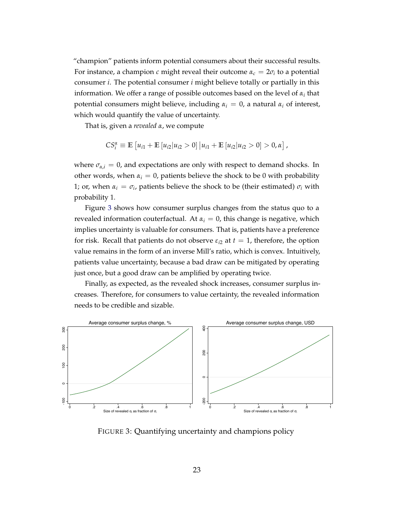"champion" patients inform potential consumers about their successful results. For instance, a champion *c* might reveal their outcome  $\alpha_c = 2\sigma_i$  to a potential consumer *i*. The potential consumer *i* might believe totally or partially in this information. We offer a range of possible outcomes based on the level of  $\alpha_i$  that potential consumers might believe, including  $\alpha_i = 0$ , a natural  $\alpha_i$  of interest, which would quantify the value of uncertainty.

That is, given a *revealed α*, we compute

$$
CS_i^{\alpha} \equiv \mathbb{E}\left[u_{i1} + \mathbb{E}\left[u_{i2} | u_{i2} > 0\right] | u_{i1} + \mathbb{E}\left[u_{i2} | u_{i2} > 0\right] > 0, \alpha\right],
$$

where  $\sigma_{\alpha,i} = 0$ , and expectations are only with respect to demand shocks. In other words, when  $\alpha_i = 0$ , patients believe the shock to be 0 with probability 1; or, when  $\alpha_i = \sigma_i$ , patients believe the shock to be (their estimated)  $\sigma_i$  with probability 1.

Figure [3](#page-22-0) shows how consumer surplus changes from the status quo to a revealed information couterfactual. At  $\alpha_i = 0$ , this change is negative, which implies uncertainty is valuable for consumers. That is, patients have a preference for risk. Recall that patients do not observe  $\varepsilon_{i2}$  at  $t=1$ , therefore, the option value remains in the form of an inverse Mill's ratio, which is convex. Intuitively, patients value uncertainty, because a bad draw can be mitigated by operating just once, but a good draw can be amplified by operating twice.

Finally, as expected, as the revealed shock increases, consumer surplus increases. Therefore, for consumers to value certainty, the revealed information needs to be credible and sizable.

<span id="page-22-0"></span>

FIGURE 3: Quantifying uncertainty and champions policy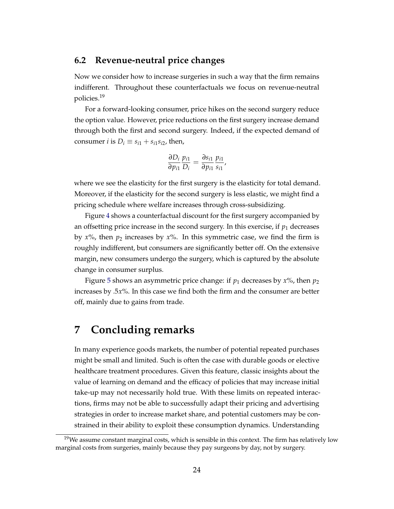### **6.2 Revenue-neutral price changes**

Now we consider how to increase surgeries in such a way that the firm remains indifferent. Throughout these counterfactuals we focus on revenue-neutral policies.<sup>19</sup>

For a forward-looking consumer, price hikes on the second surgery reduce the option value. However, price reductions on the first surgery increase demand through both the first and second surgery. Indeed, if the expected demand of consumer *i* is  $D_i \equiv s_{i1} + s_{i1} s_{i2}$ , then,

$$
\frac{\partial D_i}{\partial p_{i1}} \frac{p_{i1}}{D_i} = \frac{\partial s_{i1}}{\partial p_{i1}} \frac{p_{i1}}{s_{i1}},
$$

where we see the elasticity for the first surgery is the elasticity for total demand. Moreover, if the elasticity for the second surgery is less elastic, we might find a pricing schedule where welfare increases through cross-subsidizing.

Figure [4](#page-24-0) shows a counterfactual discount for the first surgery accompanied by an offsetting price increase in the second surgery. In this exercise, if  $p_1$  decreases by  $x\%$ , then  $p_2$  increases by  $x\%$ . In this symmetric case, we find the firm is roughly indifferent, but consumers are significantly better off. On the extensive margin, new consumers undergo the surgery, which is captured by the absolute change in consumer surplus.

Figure [5](#page-24-1) shows an asymmetric price change: if  $p_1$  decreases by  $x\%$ , then  $p_2$ increases by .5*x*%. In this case we find both the firm and the consumer are better off, mainly due to gains from trade.

# **7 Concluding remarks**

In many experience goods markets, the number of potential repeated purchases might be small and limited. Such is often the case with durable goods or elective healthcare treatment procedures. Given this feature, classic insights about the value of learning on demand and the efficacy of policies that may increase initial take-up may not necessarily hold true. With these limits on repeated interactions, firms may not be able to successfully adapt their pricing and advertising strategies in order to increase market share, and potential customers may be constrained in their ability to exploit these consumption dynamics. Understanding

 $19$ We assume constant marginal costs, which is sensible in this context. The firm has relatively low marginal costs from surgeries, mainly because they pay surgeons by day, not by surgery.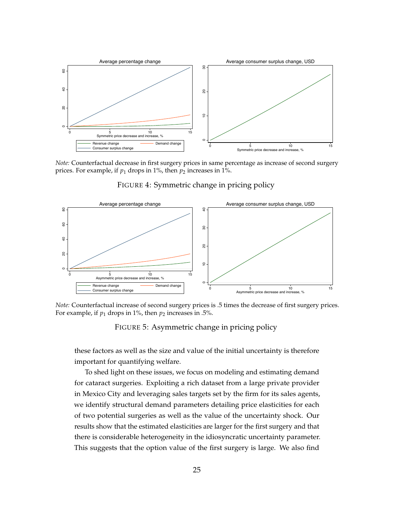<span id="page-24-0"></span>

*Note:* Counterfactual decrease in first surgery prices in same percentage as increase of second surgery prices. For example, if  $p_1$  drops in 1%, then  $p_2$  increases in 1%.

<span id="page-24-1"></span>

FIGURE 4: Symmetric change in pricing policy

*Note:* Counterfactual increase of second surgery prices is .5 times the decrease of first surgery prices. For example, if  $p_1$  drops in 1%, then  $p_2$  increases in .5%.

FIGURE 5: Asymmetric change in pricing policy

these factors as well as the size and value of the initial uncertainty is therefore important for quantifying welfare.

To shed light on these issues, we focus on modeling and estimating demand for cataract surgeries. Exploiting a rich dataset from a large private provider in Mexico City and leveraging sales targets set by the firm for its sales agents, we identify structural demand parameters detailing price elasticities for each of two potential surgeries as well as the value of the uncertainty shock. Our results show that the estimated elasticities are larger for the first surgery and that there is considerable heterogeneity in the idiosyncratic uncertainty parameter. This suggests that the option value of the first surgery is large. We also find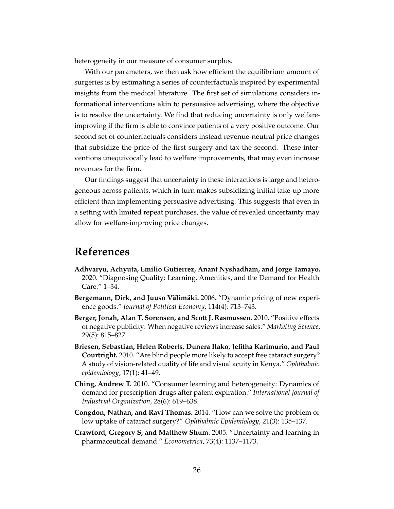heterogeneity in our measure of consumer surplus.

With our parameters, we then ask how efficient the equilibrium amount of surgeries is by estimating a series of counterfactuals inspired by experimental insights from the medical literature. The first set of simulations considers informational interventions akin to persuasive advertising, where the objective is to resolve the uncertainty. We find that reducing uncertainty is only welfareimproving if the firm is able to convince patients of a very positive outcome. Our second set of counterfactuals considers instead revenue-neutral price changes that subsidize the price of the first surgery and tax the second. These interventions unequivocally lead to welfare improvements, that may even increase revenues for the firm.

Our findings suggest that uncertainty in these interactions is large and heterogeneous across patients, which in turn makes subsidizing initial take-up more efficient than implementing persuasive advertising. This suggests that even in a setting with limited repeat purchases, the value of revealed uncertainty may allow for welfare-improving price changes.

# **References**

- <span id="page-25-5"></span>**Adhvaryu, Achyuta, Emilio Gutierrez, Anant Nyshadham, and Jorge Tamayo.** 2020. "Diagnosing Quality: Learning, Amenities, and the Demand for Health Care." 1–34.
- <span id="page-25-1"></span>**Bergemann, Dirk, and Juuso Välimäki.** 2006. "Dynamic pricing of new experience goods." *Journal of Political Economy*, 114(4): 713–743.
- <span id="page-25-2"></span>**Berger, Jonah, Alan T. Sorensen, and Scott J. Rasmussen.** 2010. "Positive effects of negative publicity: When negative reviews increase sales." *Marketing Science*, 29(5): 815–827.
- <span id="page-25-6"></span>**Briesen, Sebastian, Helen Roberts, Dunera Ilako, Jefitha Karimurio, and Paul Courtright.** 2010. "Are blind people more likely to accept free cataract surgery? A study of vision-related quality of life and visual acuity in Kenya." *Ophthalmic epidemiology*, 17(1): 41–49.
- <span id="page-25-3"></span>**Ching, Andrew T.** 2010. "Consumer learning and heterogeneity: Dynamics of demand for prescription drugs after patent expiration." *International Journal of Industrial Organization*, 28(6): 619–638.
- <span id="page-25-0"></span>**Congdon, Nathan, and Ravi Thomas.** 2014. "How can we solve the problem of low uptake of cataract surgery?" *Ophthalmic Epidemiology*, 21(3): 135–137.
- <span id="page-25-4"></span>**Crawford, Gregory S, and Matthew Shum.** 2005. "Uncertainty and learning in pharmaceutical demand." *Econometrica*, 73(4): 1137–1173.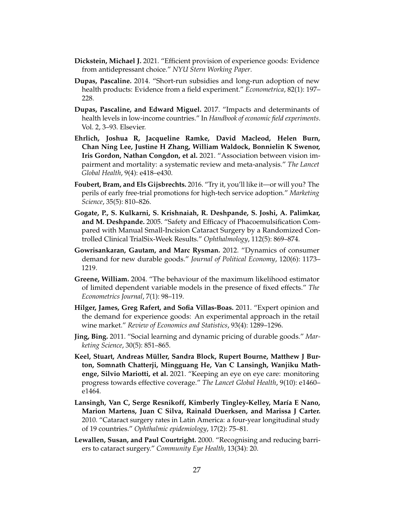- <span id="page-26-10"></span>**Dickstein, Michael J.** 2021. "Efficient provision of experience goods: Evidence from antidepressant choice." *NYU Stern Working Paper*.
- <span id="page-26-9"></span>**Dupas, Pascaline.** 2014. "Short-run subsidies and long-run adoption of new health products: Evidence from a field experiment." *Econometrica*, 82(1): 197– 228.
- <span id="page-26-8"></span>**Dupas, Pascaline, and Edward Miguel.** 2017. "Impacts and determinants of health levels in low-income countries." In *Handbook of economic field experiments*. Vol. 2, 3–93. Elsevier.
- <span id="page-26-1"></span>**Ehrlich, Joshua R, Jacqueline Ramke, David Macleod, Helen Burn, Chan Ning Lee, Justine H Zhang, William Waldock, Bonnielin K Swenor, Iris Gordon, Nathan Congdon, et al.** 2021. "Association between vision impairment and mortality: a systematic review and meta-analysis." *The Lancet Global Health*, 9(4): e418–e430.
- <span id="page-26-7"></span>**Foubert, Bram, and Els Gijsbrechts.** 2016. "Try it, you'll like it—or will you? The perils of early free-trial promotions for high-tech service adoption." *Marketing Science*, 35(5): 810–826.
- <span id="page-26-11"></span>**Gogate, P., S. Kulkarni, S. Krishnaiah, R. Deshpande, S. Joshi, A. Palimkar, and M. Deshpande.** 2005. "Safety and Efficacy of Phacoemulsification Compared with Manual Small-Incision Cataract Surgery by a Randomized Controlled Clinical TrialSix-Week Results." *Ophthalmology*, 112(5): 869–874.
- <span id="page-26-4"></span>**Gowrisankaran, Gautam, and Marc Rysman.** 2012. "Dynamics of consumer demand for new durable goods." *Journal of Political Economy*, 120(6): 1173– 1219.
- <span id="page-26-12"></span>**Greene, William.** 2004. "The behaviour of the maximum likelihood estimator of limited dependent variable models in the presence of fixed effects." *The Econometrics Journal*, 7(1): 98–119.
- <span id="page-26-6"></span>**Hilger, James, Greg Rafert, and Sofia Villas-Boas.** 2011. "Expert opinion and the demand for experience goods: An experimental approach in the retail wine market." *Review of Economics and Statistics*, 93(4): 1289–1296.
- <span id="page-26-5"></span>**Jing, Bing.** 2011. "Social learning and dynamic pricing of durable goods." *Marketing Science*, 30(5): 851–865.
- <span id="page-26-0"></span>**Keel, Stuart, Andreas Müller, Sandra Block, Rupert Bourne, Matthew J Burton, Somnath Chatterji, Mingguang He, Van C Lansingh, Wanjiku Mathenge, Silvio Mariotti, et al.** 2021. "Keeping an eye on eye care: monitoring progress towards effective coverage." *The Lancet Global Health*, 9(10): e1460– e1464.
- <span id="page-26-2"></span>**Lansingh, Van C, Serge Resnikoff, Kimberly Tingley-Kelley, María E Nano, Marion Martens, Juan C Silva, Rainald Duerksen, and Marissa J Carter.** 2010. "Cataract surgery rates in Latin America: a four-year longitudinal study of 19 countries." *Ophthalmic epidemiology*, 17(2): 75–81.
- <span id="page-26-3"></span>**Lewallen, Susan, and Paul Courtright.** 2000. "Recognising and reducing barriers to cataract surgery." *Community Eye Health*, 13(34): 20.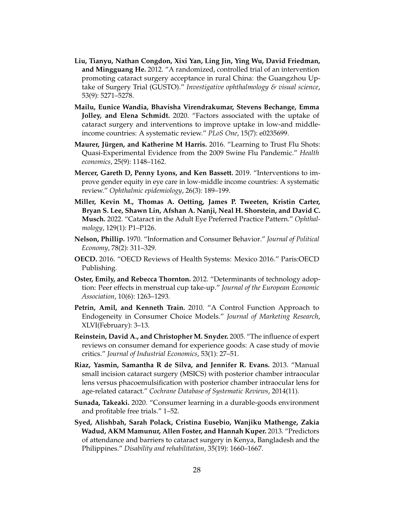- <span id="page-27-3"></span>**Liu, Tianyu, Nathan Congdon, Xixi Yan, Ling Jin, Ying Wu, David Friedman, and Mingguang He.** 2012. "A randomized, controlled trial of an intervention promoting cataract surgery acceptance in rural China: the Guangzhou Uptake of Surgery Trial (GUSTO)." *Investigative ophthalmology & visual science*, 53(9): 5271–5278.
- <span id="page-27-4"></span>**Mailu, Eunice Wandia, Bhavisha Virendrakumar, Stevens Bechange, Emma Jolley, and Elena Schmidt.** 2020. "Factors associated with the uptake of cataract surgery and interventions to improve uptake in low-and middleincome countries: A systematic review." *PLoS One*, 15(7): e0235699.
- <span id="page-27-8"></span>**Maurer, Jürgen, and Katherine M Harris.** 2016. "Learning to Trust Flu Shots: Quasi-Experimental Evidence from the 2009 Swine Flu Pandemic." *Health economics*, 25(9): 1148–1162.
- <span id="page-27-11"></span>**Mercer, Gareth D, Penny Lyons, and Ken Bassett.** 2019. "Interventions to improve gender equity in eye care in low-middle income countries: A systematic review." *Ophthalmic epidemiology*, 26(3): 189–199.
- <span id="page-27-1"></span>**Miller, Kevin M., Thomas A. Oetting, James P. Tweeten, Kristin Carter, Bryan S. Lee, Shawn Lin, Afshan A. Nanji, Neal H. Shorstein, and David C. Musch.** 2022. "Cataract in the Adult Eye Preferred Practice Pattern." *Ophthalmology*, 129(1): P1–P126.
- <span id="page-27-0"></span>**Nelson, Phillip.** 1970. "Information and Consumer Behavior." *Journal of Political Economy*, 78(2): 311–329.
- <span id="page-27-9"></span>**OECD.** 2016. "OECD Reviews of Health Systems: Mexico 2016." Paris:OECD Publishing.
- <span id="page-27-7"></span>**Oster, Emily, and Rebecca Thornton.** 2012. "Determinants of technology adoption: Peer effects in menstrual cup take-up." *Journal of the European Economic Association*, 10(6): 1263–1293.
- <span id="page-27-12"></span>**Petrin, Amil, and Kenneth Train.** 2010. "A Control Function Approach to Endogeneity in Consumer Choice Models." *Journal of Marketing Research*, XLVI(February): 3–13.
- <span id="page-27-5"></span>**Reinstein, David A., and Christopher M. Snyder.** 2005. "The influence of expert reviews on consumer demand for experience goods: A case study of movie critics." *Journal of Industrial Economics*, 53(1): 27–51.
- <span id="page-27-10"></span>**Riaz, Yasmin, Samantha R de Silva, and Jennifer R. Evans.** 2013. "Manual small incision cataract surgery (MSICS) with posterior chamber intraocular lens versus phacoemulsification with posterior chamber intraocular lens for age-related cataract." *Cochrane Database of Systematic Reviews*, 2014(11).
- <span id="page-27-6"></span>**Sunada, Takeaki.** 2020. "Consumer learning in a durable-goods environment and profitable free trials." 1–52.
- <span id="page-27-2"></span>**Syed, Alishbah, Sarah Polack, Cristina Eusebio, Wanjiku Mathenge, Zakia Wadud, AKM Mamunur, Allen Foster, and Hannah Kuper.** 2013. "Predictors of attendance and barriers to cataract surgery in Kenya, Bangladesh and the Philippines." *Disability and rehabilitation*, 35(19): 1660–1667.